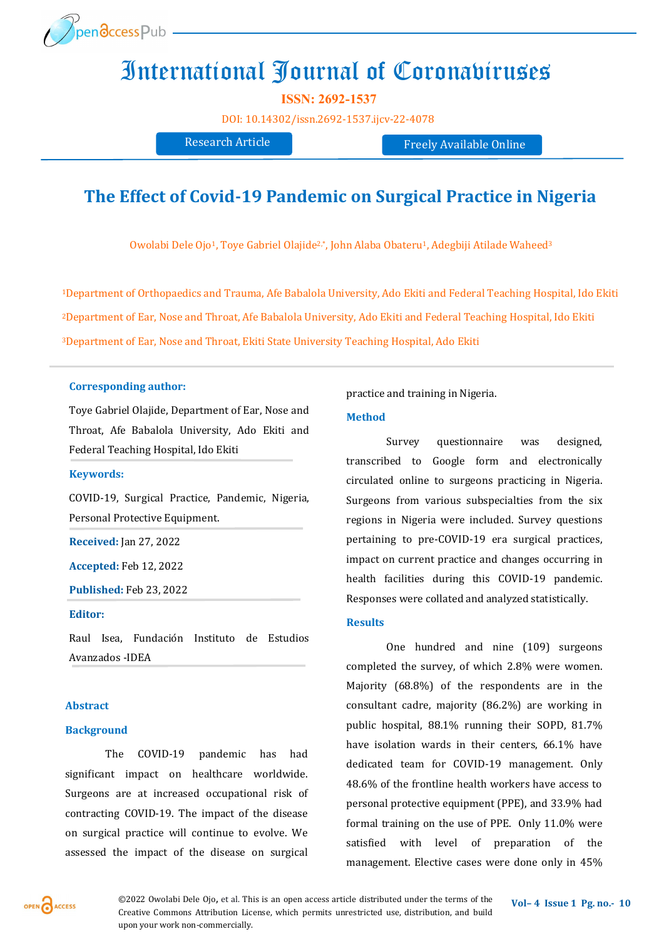

# International Journal of Coronaviruses

**ISSN: 2692-1537** 

[DOI:](https://doi.org/10.14302/issn.2639-3166.jar-21-3872) [10.14302/issn.2692](https://doi.org/10.14302/issn.2692-1537.ijcv-22-4078)-1537.ijcv-22-4078

Research Article Freely Available Online

## **The Effect of Covid-19 Pandemic on Surgical Practice in Nigeria**

Owolabi Dele Ojo<sup>1</sup>, Toye Gabriel Olajide<sup>2,\*</sup>, John Alaba Obateru<sup>1</sup>, Adegbiji Atilade Waheed<sup>3</sup>

<sup>1</sup>Department of Orthopaedics and Trauma, Afe Babalola University, Ado Ekiti and Federal Teaching Hospital, Ido Ekiti <sup>2</sup>Department of Ear, Nose and Throat, Afe Babalola University, Ado Ekiti and Federal Teaching Hospital, Ido Ekiti <sup>3</sup>Department of Ear, Nose and Throat, Ekiti State University Teaching Hospital, Ado Ekiti

#### **Corresponding author:**

Toye Gabriel Olajide, Department of Ear, Nose and Throat, Afe Babalola University, Ado Ekiti and Federal Teaching Hospital, Ido Ekiti

#### **Keywords:**

COVID-19, Surgical Practice, Pandemic, Nigeria, Personal Protective Equipment.

**Received:** Jan 27, 2022

**Accepted:** Feb 12, 2022

**Published:** Feb 23, 2022

#### **Editor:**

Raul Isea, Fundación Instituto de Estudios Avanzados -IDEA

#### **Abstract**

#### **Background**

The COVID-19 pandemic has had significant impact on healthcare worldwide. Surgeons are at increased occupational risk of contracting COVID-19. The impact of the disease on surgical practice will continue to evolve. We assessed the impact of the disease on surgical practice and training in Nigeria.

#### **Method**

Survey questionnaire was designed, transcribed to Google form and electronically circulated online to surgeons practicing in Nigeria. Surgeons from various subspecialties from the six regions in Nigeria were included. Survey questions pertaining to pre-COVID-19 era surgical practices, impact on current practice and changes occurring in health facilities during this COVID-19 pandemic. Responses were collated and analyzed statistically.

#### **Results**

One hundred and nine (109) surgeons completed the survey, of which 2.8% were women. Majority (68.8%) of the respondents are in the consultant cadre, majority (86.2%) are working in public hospital, 88.1% running their SOPD, 81.7% have isolation wards in their centers, 66.1% have dedicated team for COVID-19 management. Only 48.6% of the frontline health workers have access to personal protective equipment (PPE), and 33.9% had formal training on the use of PPE. Only 11.0% were satisfied with level of preparation of the management. Elective cases were done only in 45%

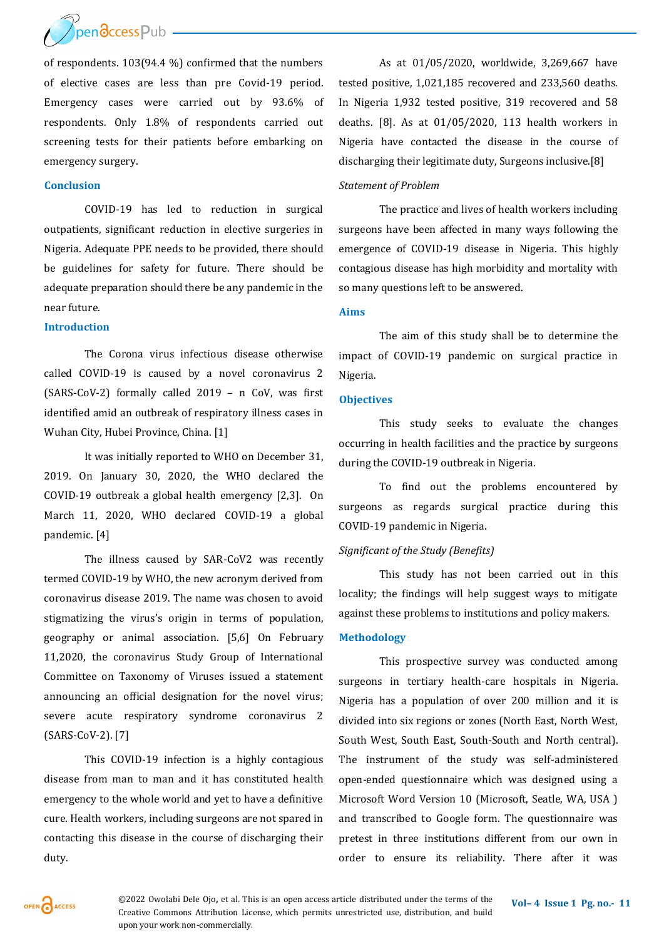pendccess Pub

of respondents. 103(94.4 %) confirmed that the numbers of elective cases are less than pre Covid-19 period. Emergency cases were carried out by 93.6% of respondents. Only 1.8% of respondents carried out screening tests for their patients before embarking on emergency surgery.

#### **Conclusion**

COVID-19 has led to reduction in surgical outpatients, significant reduction in elective surgeries in Nigeria. Adequate PPE needs to be provided, there should be guidelines for safety for future. There should be adequate preparation should there be any pandemic in the near future.

### **Introduction**

The Corona virus infectious disease otherwise called COVID-19 is caused by a novel coronavirus 2 (SARS-CoV-2) formally called 2019 – n CoV, was first identified amid an outbreak of respiratory illness cases in Wuhan City, Hubei Province, China. [1]

It was initially reported to WHO on December 31, 2019. On January 30, 2020, the WHO declared the COVID-19 outbreak a global health emergency [2,3]. On March 11, 2020, WHO declared COVID-19 a global pandemic. [4]

The illness caused by SAR-CoV2 was recently termed COVID-19 by WHO, the new acronym derived from coronavirus disease 2019. The name was chosen to avoid stigmatizing the virus's origin in terms of population, geography or animal association. [5,6] On February 11,2020, the coronavirus Study Group of International Committee on Taxonomy of Viruses issued a statement announcing an official designation for the novel virus; severe acute respiratory syndrome coronavirus 2 (SARS-CoV-2). [7]

This COVID-19 infection is a highly contagious disease from man to man and it has constituted health emergency to the whole world and yet to have a definitive cure. Health workers, including surgeons are not spared in contacting this disease in the course of discharging their duty.

As at 01/05/2020, worldwide, 3,269,667 have tested positive, 1,021,185 recovered and 233,560 deaths. In Nigeria 1,932 tested positive, 319 recovered and 58 deaths. [8]. As at 01/05/2020, 113 health workers in Nigeria have contacted the disease in the course of discharging their legitimate duty, Surgeons inclusive.[8]

#### *Statement of Problem*

The practice and lives of health workers including surgeons have been affected in many ways following the emergence of COVID-19 disease in Nigeria. This highly contagious disease has high morbidity and mortality with so many questions left to be answered.

#### **Aims**

The aim of this study shall be to determine the impact of COVID-19 pandemic on surgical practice in Nigeria.

#### **Objectives**

This study seeks to evaluate the changes occurring in health facilities and the practice by surgeons during the COVID-19 outbreak in Nigeria.

To find out the problems encountered by surgeons as regards surgical practice during this COVID-19 pandemic in Nigeria.

#### *Significant of the Study (Benefits)*

This study has not been carried out in this locality; the findings will help suggest ways to mitigate against these problems to institutions and policy makers.

#### **Methodology**

This prospective survey was conducted among surgeons in tertiary health-care hospitals in Nigeria. Nigeria has a population of over 200 million and it is divided into six regions or zones (North East, North West, South West, South East, South-South and North central). The instrument of the study was self-administered open-ended questionnaire which was designed using a Microsoft Word Version 10 (Microsoft, Seatle, WA, USA ) and transcribed to Google form. The questionnaire was pretest in three institutions different from our own in order to ensure its reliability. There after it was



©2022 Owolabi Dele Ojo, et al. This is an open access article distributed under the terms of the Vol-4 Issue 1 Pg. no.- 11 Creative Commons Attribution License, which permits unrestricted use, distribution, and build upon your work non-commercially.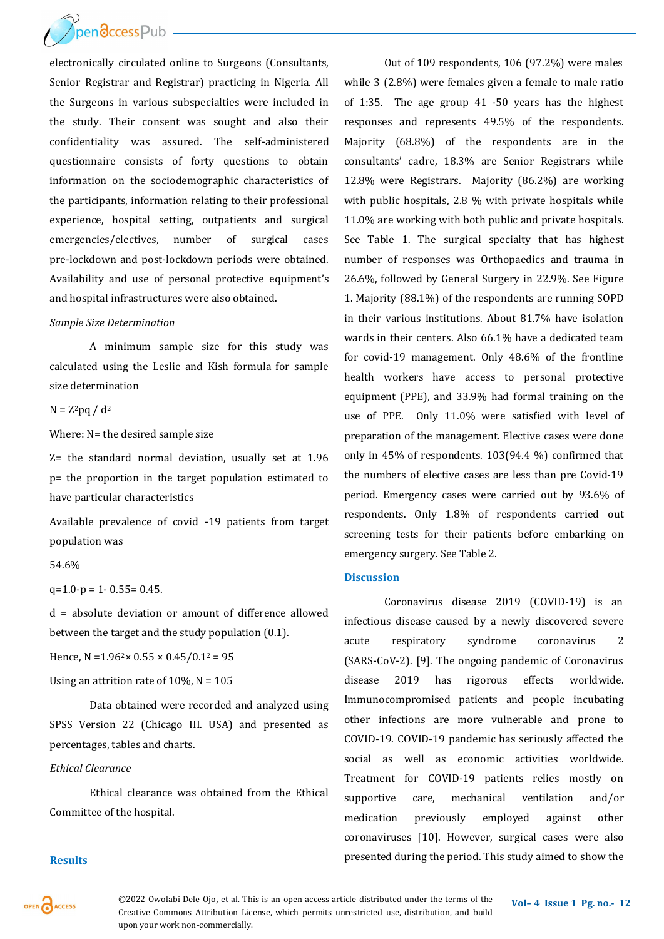

electronically circulated online to Surgeons (Consultants, Senior Registrar and Registrar) practicing in Nigeria. All the Surgeons in various subspecialties were included in the study. Their consent was sought and also their confidentiality was assured. The self-administered questionnaire consists of forty questions to obtain information on the sociodemographic characteristics of the participants, information relating to their professional experience, hospital setting, outpatients and surgical emergencies/electives, number of surgical cases pre-lockdown and post-lockdown periods were obtained. Availability and use of personal protective equipment's and hospital infrastructures were also obtained.

#### *Sample Size Determination*

A minimum sample size for this study was calculated using the Leslie and Kish formula for sample size determination

 $N = Z^2$ pq /  $d^2$ 

Where: N= the desired sample size

Z= the standard normal deviation, usually set at 1.96 p= the proportion in the target population estimated to have particular characteristics

Available prevalence of covid -19 patients from target population was

#### 54.6%

 $q=1.0-p = 1 - 0.55 = 0.45$ .

d = absolute deviation or amount of difference allowed between the target and the study population (0.1).

Hence,  $N = 1.96^2 \times 0.55 \times 0.45 / 0.1^2 = 95$ 

Using an attrition rate of  $10\%$ , N =  $105$ 

Data obtained were recorded and analyzed using SPSS Version 22 (Chicago III. USA) and presented as percentages, tables and charts.

#### *Ethical Clearance*

Ethical clearance was obtained from the Ethical Committee of the hospital.

Out of 109 respondents, 106 (97.2%) were males while 3 (2.8%) were females given a female to male ratio of 1:35. The age group 41 -50 years has the highest responses and represents 49.5% of the respondents. Majority (68.8%) of the respondents are in the consultants' cadre, 18.3% are Senior Registrars while 12.8% were Registrars. Majority (86.2%) are working with public hospitals, 2.8 % with private hospitals while 11.0% are working with both public and private hospitals. See Table 1. The surgical specialty that has highest number of responses was Orthopaedics and trauma in 26.6%, followed by General Surgery in 22.9%. See Figure 1. Majority (88.1%) of the respondents are running SOPD in their various institutions. About 81.7% have isolation wards in their centers. Also 66.1% have a dedicated team for covid-19 management. Only 48.6% of the frontline health workers have access to personal protective equipment (PPE), and 33.9% had formal training on the use of PPE. Only 11.0% were satisfied with level of preparation of the management. Elective cases were done only in 45% of respondents. 103(94.4 %) confirmed that the numbers of elective cases are less than pre Covid-19 period. Emergency cases were carried out by 93.6% of respondents. Only 1.8% of respondents carried out screening tests for their patients before embarking on emergency surgery. See Table 2.

#### **Discussion**

Coronavirus disease 2019 (COVID-19) is an infectious disease caused by a newly discovered severe acute respiratory syndrome coronavirus 2 (SARS-CoV-2). [9]. The ongoing pandemic of Coronavirus disease 2019 has rigorous effects worldwide. Immunocompromised patients and people incubating other infections are more vulnerable and prone to COVID-19. COVID-19 pandemic has seriously affected the social as well as economic activities worldwide. Treatment for COVID-19 patients relies mostly on supportive care, mechanical ventilation and/or medication previously employed against other coronaviruses [10]. However, surgical cases were also presented during the period. This study aimed to show the

#### **Results**

OPEN CACCESS

©2022 Owolabi Dele Ojo, et al. This is an open access article distributed under the terms of the Vol-4 Issue 1 Pg. no.- 12 Creative Commons Attribution License, which permits unrestricted use, distribution, and build upon your work non-commercially.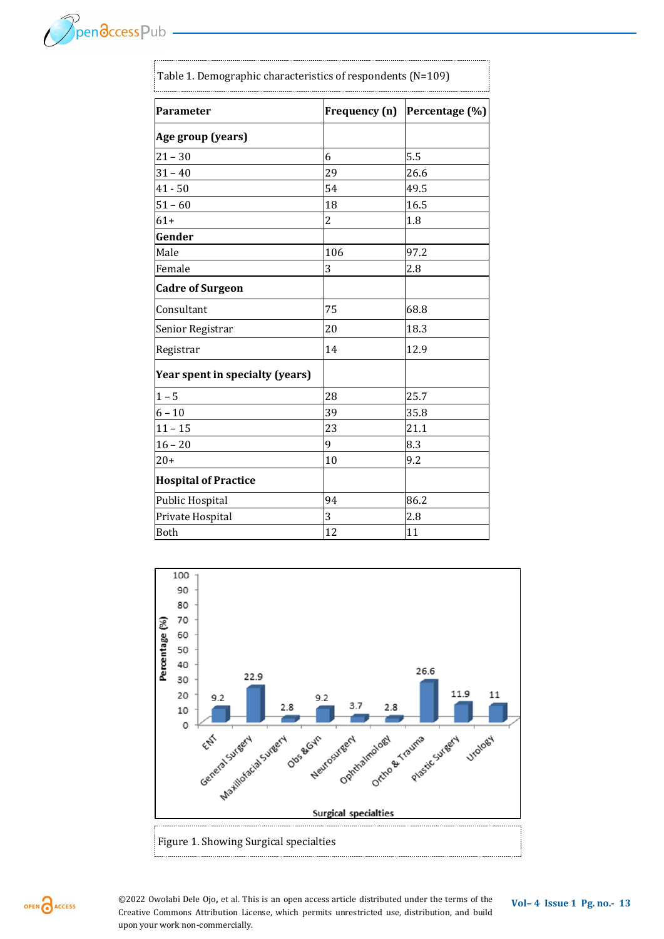| <b>Parameter</b>                | Frequency (n)  | Percentage (%) |
|---------------------------------|----------------|----------------|
| Age group (years)               |                |                |
| $21 - 30$                       | 6              | 5.5            |
| $31 - 40$                       | 29             | 26.6           |
| $41 - 50$                       | 54             | 49.5           |
| $51 - 60$                       | 18             | 16.5           |
| $61+$                           | $\overline{c}$ | 1.8            |
| Gender                          |                |                |
| Male                            | 106            | 97.2           |
| Female                          | 3              | 2.8            |
| <b>Cadre of Surgeon</b>         |                |                |
| Consultant                      | 75             | 68.8           |
| Senior Registrar                | 20             | 18.3           |
| Registrar                       | 14             | 12.9           |
| Year spent in specialty (years) |                |                |
| $1 - 5$                         | 28             | 25.7           |
| $6 - 10$                        | 39             | 35.8           |
| $11 - 15$                       | 23             | 21.1           |
| $16 - 20$                       | 9              | 8.3            |
| $20+$                           | 10             | 9.2            |
| <b>Hospital of Practice</b>     |                |                |
| Public Hospital                 | 94             | 86.2           |
| Private Hospital                | 3              | 2.8            |
| <b>Both</b>                     | 12             | 11             |





Pendccess Pub -

**@2022 Owolabi Dele Ojo, et al. This is an open access article distributed under the terms of the <b>Vol-4 Issue 1 Pg. no. 13** Creative Commons Attribution License, which permits unrestricted use, distribution, and build upon your work non-commercially.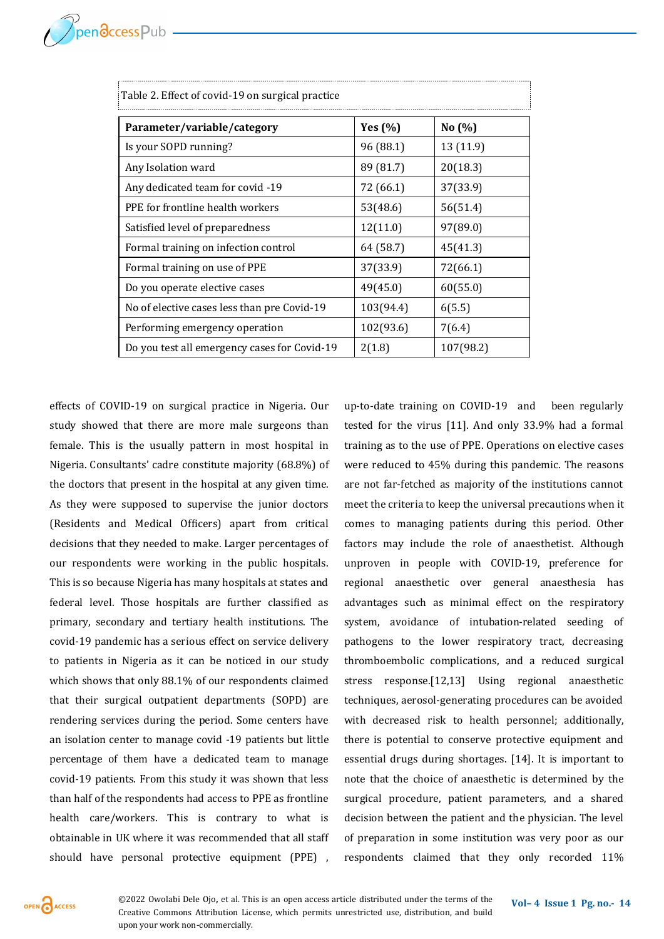| Table 2. Effect of covid-19 on surgical practice |             |           |
|--------------------------------------------------|-------------|-----------|
| Parameter/variable/category                      | Yes $(\% )$ | No $(%$   |
| Is your SOPD running?                            | 96 (88.1)   | 13 (11.9) |
| Any Isolation ward                               | 89 (81.7)   | 20(18.3)  |
| Any dedicated team for covid -19                 | 72 (66.1)   | 37(33.9)  |
| PPE for frontline health workers                 | 53(48.6)    | 56(51.4)  |
| Satisfied level of preparedness                  | 12(11.0)    | 97(89.0)  |
| Formal training on infection control             | 64 (58.7)   | 45(41.3)  |
| Formal training on use of PPE                    | 37(33.9)    | 72(66.1)  |
| Do you operate elective cases                    | 49(45.0)    | 60(55.0)  |
| No of elective cases less than pre Covid-19      | 103(94.4)   | 6(5.5)    |
| Performing emergency operation                   | 102(93.6)   | 7(6.4)    |
| Do you test all emergency cases for Covid-19     | 2(1.8)      | 107(98.2) |

effects of COVID-19 on surgical practice in Nigeria. Our study showed that there are more male surgeons than female. This is the usually pattern in most hospital in Nigeria. Consultants' cadre constitute majority (68.8%) of the doctors that present in the hospital at any given time. As they were supposed to supervise the junior doctors (Residents and Medical Officers) apart from critical decisions that they needed to make. Larger percentages of our respondents were working in the public hospitals. This is so because Nigeria has many hospitals at states and federal level. Those hospitals are further classified as primary, secondary and tertiary health institutions. The covid-19 pandemic has a serious effect on service delivery to patients in Nigeria as it can be noticed in our study which shows that only 88.1% of our respondents claimed that their surgical outpatient departments (SOPD) are rendering services during the period. Some centers have an isolation center to manage covid -19 patients but little percentage of them have a dedicated team to manage covid-19 patients. From this study it was shown that less than half of the respondents had access to PPE as frontline health care/workers. This is contrary to what is obtainable in UK where it was recommended that all staff should have personal protective equipment (PPE) ,

up-to-date training on COVID-19 and been regularly tested for the virus [11]. And only 33.9% had a formal training as to the use of PPE. Operations on elective cases were reduced to 45% during this pandemic. The reasons are not far-fetched as majority of the institutions cannot meet the criteria to keep the universal precautions when it comes to managing patients during this period. Other factors may include the role of anaesthetist. Although unproven in people with COVID-19, preference for regional anaesthetic over general anaesthesia has advantages such as minimal effect on the respiratory system, avoidance of intubation-related seeding of pathogens to the lower respiratory tract, decreasing thromboembolic complications, and a reduced surgical stress response.[12,13] Using regional anaesthetic techniques, aerosol-generating procedures can be avoided with decreased risk to health personnel; additionally, there is potential to conserve protective equipment and essential drugs during shortages. [14]. It is important to note that the choice of anaesthetic is determined by the surgical procedure, patient parameters, and a shared decision between the patient and the physician. The level of preparation in some institution was very poor as our respondents claimed that they only recorded 11%



©2022 Owolabi Dele Ojo, et al. This is an open access article distributed under the terms of the Vol-4 Issue 1 Pg. no.- 14 Creative Commons Attribution License, which permits unrestricted use, distribution, and build upon your work non-commercially.